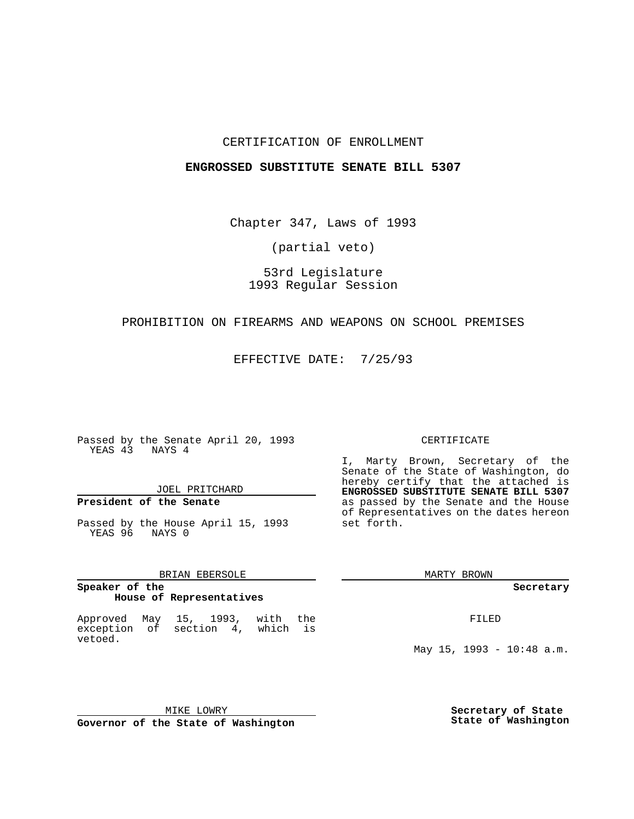## CERTIFICATION OF ENROLLMENT

## **ENGROSSED SUBSTITUTE SENATE BILL 5307**

Chapter 347, Laws of 1993

(partial veto)

# 53rd Legislature 1993 Regular Session

### PROHIBITION ON FIREARMS AND WEAPONS ON SCHOOL PREMISES

EFFECTIVE DATE: 7/25/93

Passed by the Senate April 20, 1993 YEAS 43 NAYS 4

## JOEL PRITCHARD

# **President of the Senate**

Passed by the House April 15, 1993 YEAS 96 NAYS 0

## BRIAN EBERSOLE

#### **Speaker of the House of Representatives**

Approved May 15, 1993, with the exception of section 4, which is vetoed.

#### CERTIFICATE

I, Marty Brown, Secretary of the Senate of the State of Washington, do hereby certify that the attached is **ENGROSSED SUBSTITUTE SENATE BILL 5307** as passed by the Senate and the House of Representatives on the dates hereon set forth.

MARTY BROWN

**Secretary**

FILED

May 15, 1993 - 10:48 a.m.

MIKE LOWRY **Governor of the State of Washington** **Secretary of State State of Washington**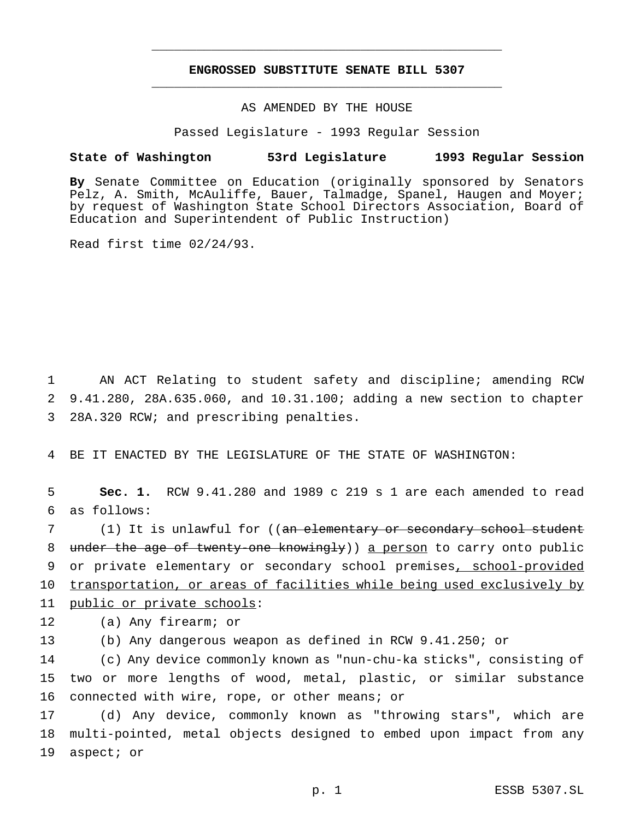# **ENGROSSED SUBSTITUTE SENATE BILL 5307** \_\_\_\_\_\_\_\_\_\_\_\_\_\_\_\_\_\_\_\_\_\_\_\_\_\_\_\_\_\_\_\_\_\_\_\_\_\_\_\_\_\_\_\_\_\_\_

\_\_\_\_\_\_\_\_\_\_\_\_\_\_\_\_\_\_\_\_\_\_\_\_\_\_\_\_\_\_\_\_\_\_\_\_\_\_\_\_\_\_\_\_\_\_\_

## AS AMENDED BY THE HOUSE

Passed Legislature - 1993 Regular Session

#### **State of Washington 53rd Legislature 1993 Regular Session**

**By** Senate Committee on Education (originally sponsored by Senators Pelz, A. Smith, McAuliffe, Bauer, Talmadge, Spanel, Haugen and Moyer; by request of Washington State School Directors Association, Board of Education and Superintendent of Public Instruction)

Read first time 02/24/93.

1 AN ACT Relating to student safety and discipline; amending RCW 2 9.41.280, 28A.635.060, and 10.31.100; adding a new section to chapter 3 28A.320 RCW; and prescribing penalties.

4 BE IT ENACTED BY THE LEGISLATURE OF THE STATE OF WASHINGTON:

5 **Sec. 1.** RCW 9.41.280 and 1989 c 219 s 1 are each amended to read 6 as follows:

7 (1) It is unlawful for ((an elementary or secondary school student 8 under the age of twenty-one knowingly)) a person to carry onto public 9 or private elementary or secondary school premises, school-provided 10 transportation, or areas of facilities while being used exclusively by 11 public or private schools:

12 (a) Any firearm; or

13 (b) Any dangerous weapon as defined in RCW 9.41.250; or

14 (c) Any device commonly known as "nun-chu-ka sticks", consisting of 15 two or more lengths of wood, metal, plastic, or similar substance 16 connected with wire, rope, or other means; or

17 (d) Any device, commonly known as "throwing stars", which are 18 multi-pointed, metal objects designed to embed upon impact from any 19 aspect; or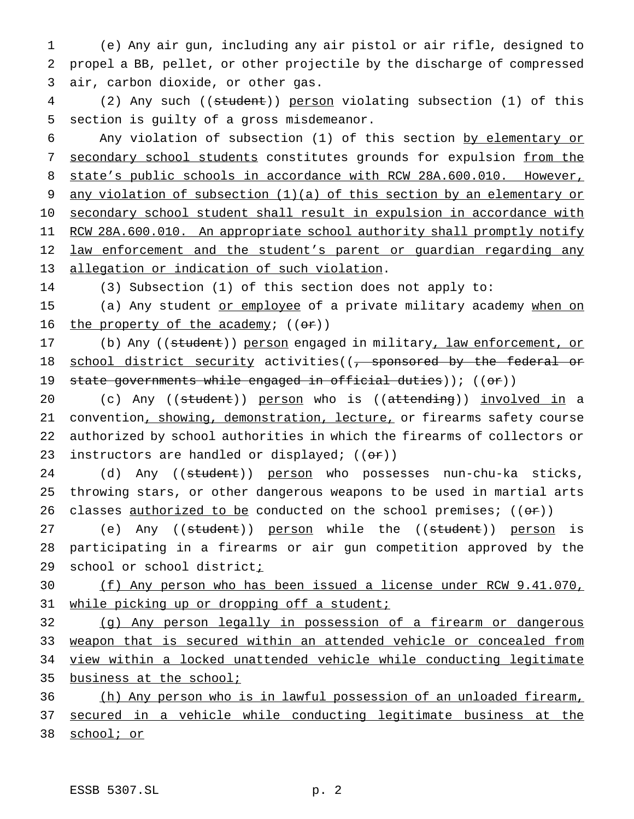1 (e) Any air gun, including any air pistol or air rifle, designed to 2 propel a BB, pellet, or other projectile by the discharge of compressed 3 air, carbon dioxide, or other gas.

4 (2) Any such ((student)) person violating subsection (1) of this 5 section is guilty of a gross misdemeanor.

6 Any violation of subsection (1) of this section by elementary or 7 secondary school students constitutes grounds for expulsion from the 8 state's public schools in accordance with RCW 28A.600.010. However, 9 any violation of subsection (1)(a) of this section by an elementary or 10 secondary school student shall result in expulsion in accordance with 11 RCW 28A.600.010. An appropriate school authority shall promptly notify 12 law enforcement and the student's parent or guardian regarding any 13 allegation or indication of such violation.

14 (3) Subsection (1) of this section does not apply to:

15 (a) Any student or employee of a private military academy when on 16 the property of the academy;  $((er))$ 

17 (b) Any ((student)) person engaged in military, law enforcement, or 18 school district security activities((, sponsored by the federal or 19 state governments while engaged in official duties)); ((or))

20 (c) Any ((student)) person who is ((attending)) involved in a 21 convention, showing, demonstration, lecture, or firearms safety course 22 authorized by school authorities in which the firearms of collectors or 23 instructors are handled or displayed;  $((\theta \cdot \mathbf{r}))$ 

24 (d) Any ((student)) person who possesses nun-chu-ka sticks, 25 throwing stars, or other dangerous weapons to be used in martial arts 26 classes authorized to be conducted on the school premises;  $((\theta \cdot \hat{r}))$ 

27 (e) Any ((student)) person while the ((student)) person is 28 participating in a firearms or air gun competition approved by the 29 school or school districti

30 (f) Any person who has been issued a license under RCW 9.41.070, 31 while picking up or dropping off a student;

 (g) Any person legally in possession of a firearm or dangerous weapon that is secured within an attended vehicle or concealed from view within a locked unattended vehicle while conducting legitimate business at the school;

36 (h) Any person who is in lawful possession of an unloaded firearm, 37 secured in a vehicle while conducting legitimate business at the 38 school; or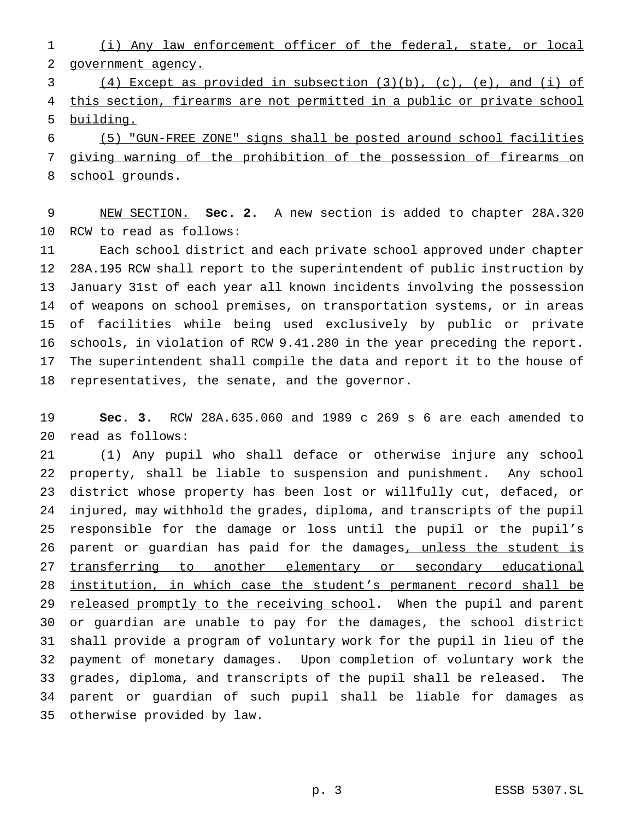(i) Any law enforcement officer of the federal, state, or local government agency.

 (4) Except as provided in subsection (3)(b), (c), (e), and (i) of 4 this section, firearms are not permitted in a public or private school building.

 (5) "GUN-FREE ZONE" signs shall be posted around school facilities giving warning of the prohibition of the possession of firearms on school grounds.

 NEW SECTION. **Sec. 2.** A new section is added to chapter 28A.320 RCW to read as follows:

 Each school district and each private school approved under chapter 28A.195 RCW shall report to the superintendent of public instruction by January 31st of each year all known incidents involving the possession of weapons on school premises, on transportation systems, or in areas of facilities while being used exclusively by public or private schools, in violation of RCW 9.41.280 in the year preceding the report. The superintendent shall compile the data and report it to the house of representatives, the senate, and the governor.

 **Sec. 3.** RCW 28A.635.060 and 1989 c 269 s 6 are each amended to read as follows:

 (1) Any pupil who shall deface or otherwise injure any school property, shall be liable to suspension and punishment. Any school district whose property has been lost or willfully cut, defaced, or injured, may withhold the grades, diploma, and transcripts of the pupil responsible for the damage or loss until the pupil or the pupil's 26 parent or guardian has paid for the damages, unless the student is 27 transferring to another elementary or secondary educational institution, in which case the student's permanent record shall be 29 released promptly to the receiving school. When the pupil and parent or guardian are unable to pay for the damages, the school district shall provide a program of voluntary work for the pupil in lieu of the payment of monetary damages. Upon completion of voluntary work the grades, diploma, and transcripts of the pupil shall be released. The parent or guardian of such pupil shall be liable for damages as otherwise provided by law.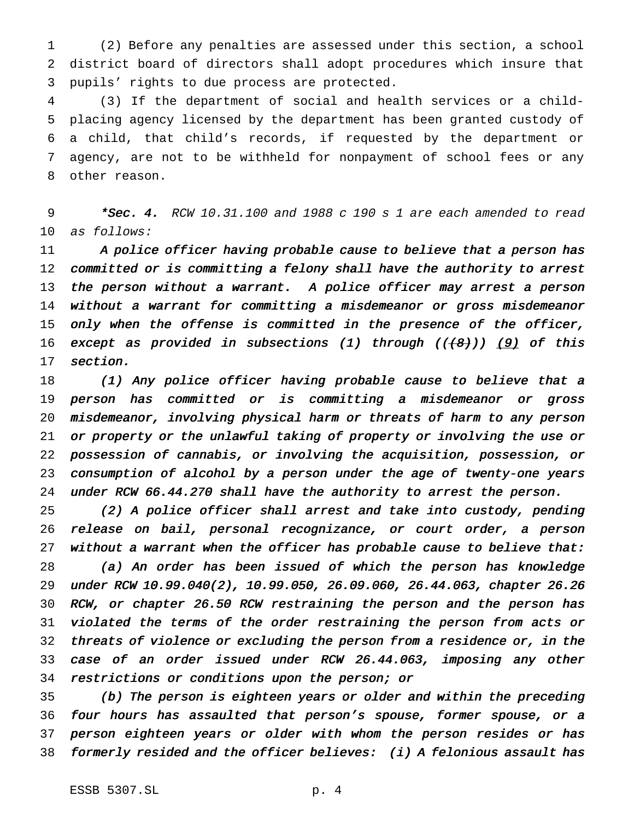(2) Before any penalties are assessed under this section, a school district board of directors shall adopt procedures which insure that pupils' rights to due process are protected.

 (3) If the department of social and health services or a child- placing agency licensed by the department has been granted custody of a child, that child's records, if requested by the department or agency, are not to be withheld for nonpayment of school fees or any other reason.

9  $*$ Sec. 4. RCW 10.31.100 and 1988 c 190 s 1 are each amended to read as follows:

11 A police officer having probable cause to believe that a person has 12 committed or is committing a felony shall have the authority to arrest the person without <sup>a</sup> warrant. <sup>A</sup> police officer may arrest <sup>a</sup> person without <sup>a</sup> warrant for committing <sup>a</sup> misdemeanor or gross misdemeanor 15 only when the offense is committed in the presence of the officer, 16 except as provided in subsections (1) through  $((+8))$  (9) of this section.

 (1) Any police officer having probable cause to believe that <sup>a</sup> person has committed or is committing <sup>a</sup> misdemeanor or gross misdemeanor, involving physical harm or threats of harm to any person or property or the unlawful taking of property or involving the use or possession of cannabis, or involving the acquisition, possession, or consumption of alcohol by <sup>a</sup> person under the age of twenty-one years under RCW 66.44.270 shall have the authority to arrest the person.

 (2) <sup>A</sup> police officer shall arrest and take into custody, pending release on bail, personal recognizance, or court order, <sup>a</sup> person 27 without a warrant when the officer has probable cause to believe that:

 (a) An order has been issued of which the person has knowledge under RCW 10.99.040(2), 10.99.050, 26.09.060, 26.44.063, chapter 26.26 RCW, or chapter 26.50 RCW restraining the person and the person has violated the terms of the order restraining the person from acts or threats of violence or excluding the person from <sup>a</sup> residence or, in the case of an order issued under RCW 26.44.063, imposing any other restrictions or conditions upon the person; or

 (b) The person is eighteen years or older and within the preceding four hours has assaulted that person's spouse, former spouse, or <sup>a</sup> person eighteen years or older with whom the person resides or has formerly resided and the officer believes: (i) <sup>A</sup> felonious assault has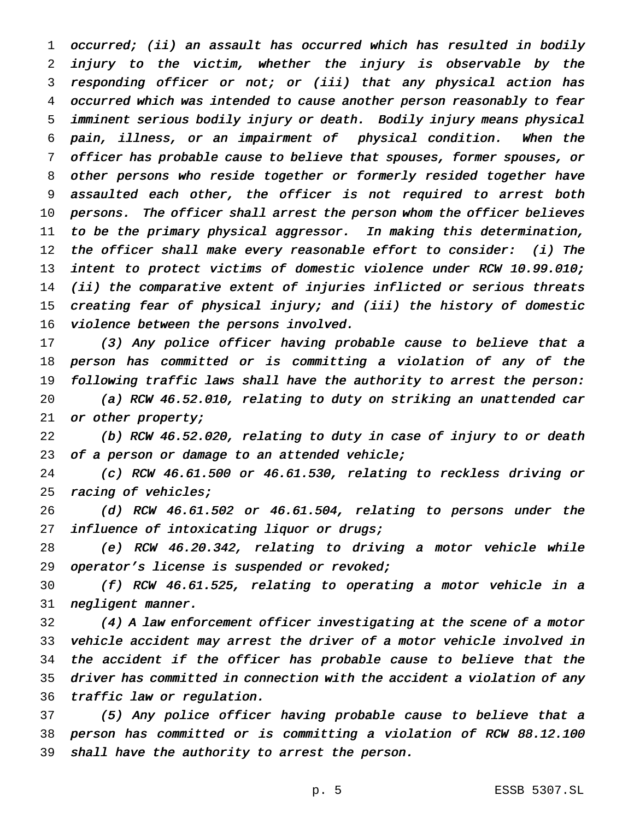occurred; (ii) an assault has occurred which has resulted in bodily injury to the victim, whether the injury is observable by the responding officer or not; or (iii) that any physical action has occurred which was intended to cause another person reasonably to fear imminent serious bodily injury or death. Bodily injury means physical pain, illness, or an impairment of physical condition. When the officer has probable cause to believe that spouses, former spouses, or other persons who reside together or formerly resided together have assaulted each other, the officer is not required to arrest both persons. The officer shall arrest the person whom the officer believes to be the primary physical aggressor. In making this determination, the officer shall make every reasonable effort to consider: (i) The 13 intent to protect victims of domestic violence under RCW 10.99.010; (ii) the comparative extent of injuries inflicted or serious threats creating fear of physical injury; and (iii) the history of domestic 16 violence between the persons involved.

 (3) Any police officer having probable cause to believe that <sup>a</sup> person has committed or is committing <sup>a</sup> violation of any of the following traffic laws shall have the authority to arrest the person:

 (a) RCW 46.52.010, relating to duty on striking an unattended car 21 or other property;

 (b) RCW 46.52.020, relating to duty in case of injury to or death 23 of a person or damage to an attended vehicle;

 (c) RCW 46.61.500 or 46.61.530, relating to reckless driving or 25 racing of vehicles;

 (d) RCW 46.61.502 or 46.61.504, relating to persons under the 27 influence of intoxicating liquor or drugs;

 (e) RCW 46.20.342, relating to driving <sup>a</sup> motor vehicle while operator's license is suspended or revoked;

 (f) RCW 46.61.525, relating to operating <sup>a</sup> motor vehicle in <sup>a</sup> negligent manner.

 (4) <sup>A</sup> law enforcement officer investigating at the scene of <sup>a</sup> motor vehicle accident may arrest the driver of <sup>a</sup> motor vehicle involved in the accident if the officer has probable cause to believe that the driver has committed in connection with the accident <sup>a</sup> violation of any traffic law or regulation.

 (5) Any police officer having probable cause to believe that <sup>a</sup> person has committed or is committing <sup>a</sup> violation of RCW 88.12.100 shall have the authority to arrest the person.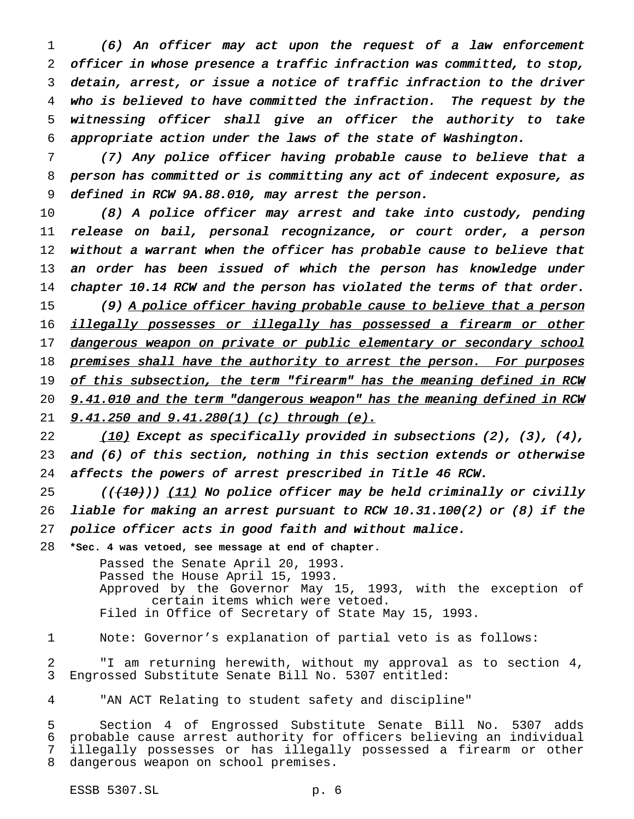(6) An officer may act upon the request of <sup>a</sup> law enforcement officer in whose presence <sup>a</sup> traffic infraction was committed, to stop, detain, arrest, or issue <sup>a</sup> notice of traffic infraction to the driver who is believed to have committed the infraction. The request by the witnessing officer shall give an officer the authority to take appropriate action under the laws of the state of Washington.

 (7) Any police officer having probable cause to believe that <sup>a</sup> person has committed or is committing any act of indecent exposure, as defined in RCW 9A.88.010, may arrest the person.

 (8) <sup>A</sup> police officer may arrest and take into custody, pending release on bail, personal recognizance, or court order, <sup>a</sup> person without <sup>a</sup> warrant when the officer has probable cause to believe that 13 an order has been issued of which the person has knowledge under 14 chapter 10.14 RCW and the person has violated the terms of that order. 15 (9) A police officer having probable cause to believe that a person 16 illegally possesses or illegally has possessed a firearm or other 17 dangerous weapon on private or public elementary or secondary school 18 premises shall have the authority to arrest the person. For purposes 19 of this subsection, the term "firearm" has the meaning defined in RCW 20 9.41.010 and the term "dangerous weapon" has the meaning defined in RCW **9.41.250 and 9.41.280(1) (c) through (e).** 

22  $(10)$  Except as specifically provided in subsections (2), (3), (4), and (6) of this section, nothing in this section extends or otherwise affects the powers of arrest prescribed in Title <sup>46</sup> RCW.

25 ( $($  $($  $\{10\})$ )  $(11)$  No police officer may be held criminally or civilly liable for making an arrest pursuant to RCW 10.31.100(2) or (8) if the police officer acts in good faith and without malice.

**\*Sec. 4 was vetoed, see message at end of chapter.**

Passed the Senate April 20, 1993. Passed the House April 15, 1993. Approved by the Governor May 15, 1993, with the exception of certain items which were vetoed. Filed in Office of Secretary of State May 15, 1993.

Note: Governor's explanation of partial veto is as follows:

 "I am returning herewith, without my approval as to section 4, Engrossed Substitute Senate Bill No. 5307 entitled:

"AN ACT Relating to student safety and discipline"

 Section 4 of Engrossed Substitute Senate Bill No. 5307 adds probable cause arrest authority for officers believing an individual illegally possesses or has illegally possessed a firearm or other dangerous weapon on school premises.